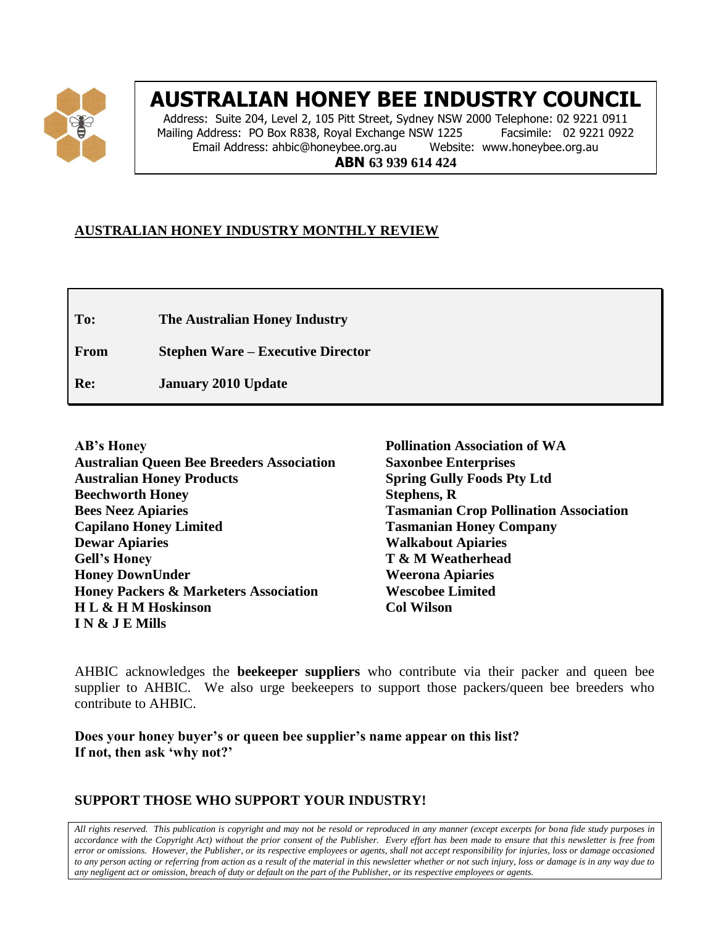

# **AUSTRALIAN HONEY BEE INDUSTRY COUNCIL**

Address: Suite 204, Level 2, 105 Pitt Street, Sydney NSW 2000 Telephone: 02 9221 0911 Mailing Address: PO Box R838, Royal Exchange NSW 1225 Facsimile: 02 9221 0922<br>Email Address: ahbic@honeybee.org.au Website: www.honeybee.org.au Email Address: ahbic@honeybee.org.au **ABN 63 939 614 424**

## **AUSTRALIAN HONEY INDUSTRY MONTHLY REVIEW**

**To: The Australian Honey Industry**

**From Stephen Ware – Executive Director**

**Re: January 2010 Update**

**AB's Honey Australian Queen Bee Breeders Association Australian Honey Products Beechworth Honey Bees Neez Apiaries Capilano Honey Limited Dewar Apiaries Gell's Honey Honey DownUnder Honey Packers & Marketers Association H L & H M Hoskinson I N & J E Mills**

**Pollination Association of WA Saxonbee Enterprises Spring Gully Foods Pty Ltd Stephens, R Tasmanian Crop Pollination Association Tasmanian Honey Company Walkabout Apiaries T & M Weatherhead Weerona Apiaries Wescobee Limited Col Wilson**

AHBIC acknowledges the **beekeeper suppliers** who contribute via their packer and queen bee supplier to AHBIC. We also urge beekeepers to support those packers/queen bee breeders who contribute to AHBIC.

**Does your honey buyer's or queen bee supplier's name appear on this list? If not, then ask 'why not?'**

## **SUPPORT THOSE WHO SUPPORT YOUR INDUSTRY!**

*All rights reserved. This publication is copyright and may not be resold or reproduced in any manner (except excerpts for bona fide study purposes in accordance with the Copyright Act) without the prior consent of the Publisher. Every effort has been made to ensure that this newsletter is free from error or omissions. However, the Publisher, or its respective employees or agents, shall not accept responsibility for injuries, loss or damage occasioned to any person acting or referring from action as a result of the material in this newsletter whether or not such injury, loss or damage is in any way due to any negligent act or omission, breach of duty or default on the part of the Publisher, or its respective employees or agents.*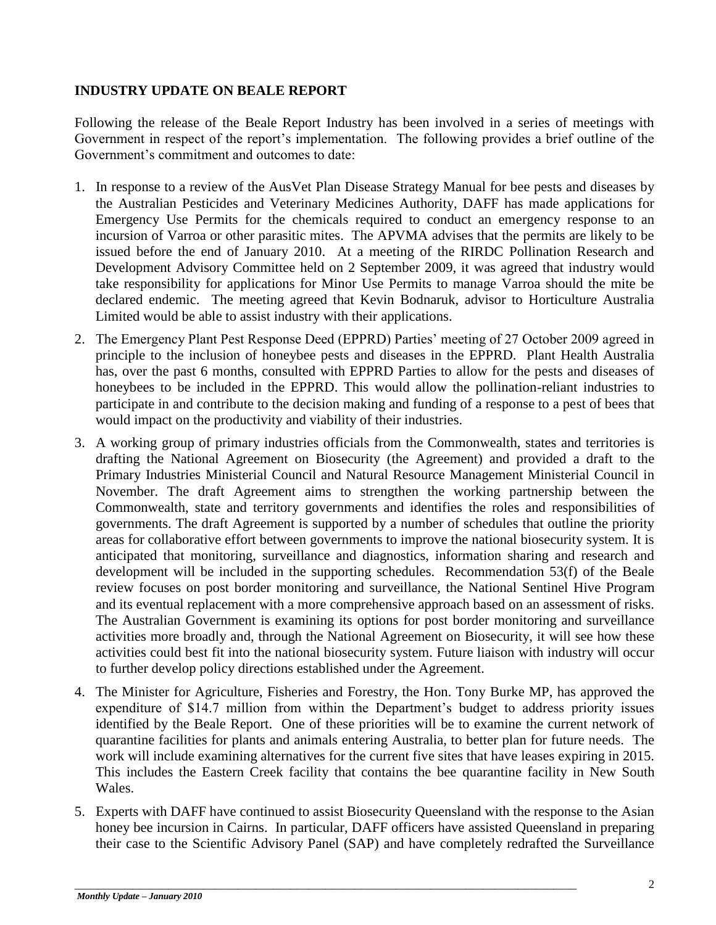### **INDUSTRY UPDATE ON BEALE REPORT**

Following the release of the Beale Report Industry has been involved in a series of meetings with Government in respect of the report's implementation. The following provides a brief outline of the Government's commitment and outcomes to date:

- 1. In response to a review of the AusVet Plan Disease Strategy Manual for bee pests and diseases by the Australian Pesticides and Veterinary Medicines Authority, DAFF has made applications for Emergency Use Permits for the chemicals required to conduct an emergency response to an incursion of Varroa or other parasitic mites. The APVMA advises that the permits are likely to be issued before the end of January 2010. At a meeting of the RIRDC Pollination Research and Development Advisory Committee held on 2 September 2009, it was agreed that industry would take responsibility for applications for Minor Use Permits to manage Varroa should the mite be declared endemic. The meeting agreed that Kevin Bodnaruk, advisor to Horticulture Australia Limited would be able to assist industry with their applications.
- 2. The Emergency Plant Pest Response Deed (EPPRD) Parties' meeting of 27 October 2009 agreed in principle to the inclusion of honeybee pests and diseases in the EPPRD. Plant Health Australia has, over the past 6 months, consulted with EPPRD Parties to allow for the pests and diseases of honeybees to be included in the EPPRD. This would allow the pollination-reliant industries to participate in and contribute to the decision making and funding of a response to a pest of bees that would impact on the productivity and viability of their industries.
- 3. A working group of primary industries officials from the Commonwealth, states and territories is drafting the National Agreement on Biosecurity (the Agreement) and provided a draft to the Primary Industries Ministerial Council and Natural Resource Management Ministerial Council in November. The draft Agreement aims to strengthen the working partnership between the Commonwealth, state and territory governments and identifies the roles and responsibilities of governments. The draft Agreement is supported by a number of schedules that outline the priority areas for collaborative effort between governments to improve the national biosecurity system. It is anticipated that monitoring, surveillance and diagnostics, information sharing and research and development will be included in the supporting schedules. Recommendation 53(f) of the Beale review focuses on post border monitoring and surveillance, the National Sentinel Hive Program and its eventual replacement with a more comprehensive approach based on an assessment of risks. The Australian Government is examining its options for post border monitoring and surveillance activities more broadly and, through the National Agreement on Biosecurity, it will see how these activities could best fit into the national biosecurity system. Future liaison with industry will occur to further develop policy directions established under the Agreement.
- 4. The Minister for Agriculture, Fisheries and Forestry, the Hon. Tony Burke MP, has approved the expenditure of \$14.7 million from within the Department's budget to address priority issues identified by the Beale Report. One of these priorities will be to examine the current network of quarantine facilities for plants and animals entering Australia, to better plan for future needs. The work will include examining alternatives for the current five sites that have leases expiring in 2015. This includes the Eastern Creek facility that contains the bee quarantine facility in New South Wales.
- 5. Experts with DAFF have continued to assist Biosecurity Queensland with the response to the Asian honey bee incursion in Cairns. In particular, DAFF officers have assisted Queensland in preparing their case to the Scientific Advisory Panel (SAP) and have completely redrafted the Surveillance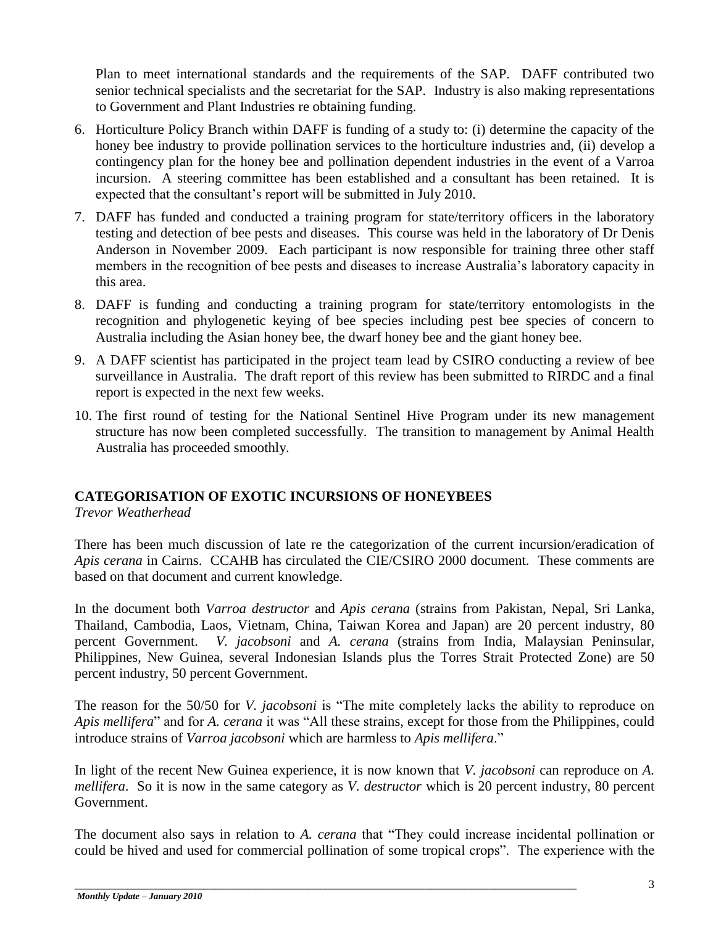Plan to meet international standards and the requirements of the SAP. DAFF contributed two senior technical specialists and the secretariat for the SAP. Industry is also making representations to Government and Plant Industries re obtaining funding.

- 6. Horticulture Policy Branch within DAFF is funding of a study to: (i) determine the capacity of the honey bee industry to provide pollination services to the horticulture industries and, (ii) develop a contingency plan for the honey bee and pollination dependent industries in the event of a Varroa incursion. A steering committee has been established and a consultant has been retained. It is expected that the consultant's report will be submitted in July 2010.
- 7. DAFF has funded and conducted a training program for state/territory officers in the laboratory testing and detection of bee pests and diseases. This course was held in the laboratory of Dr Denis Anderson in November 2009. Each participant is now responsible for training three other staff members in the recognition of bee pests and diseases to increase Australia's laboratory capacity in this area.
- 8. DAFF is funding and conducting a training program for state/territory entomologists in the recognition and phylogenetic keying of bee species including pest bee species of concern to Australia including the Asian honey bee, the dwarf honey bee and the giant honey bee.
- 9. A DAFF scientist has participated in the project team lead by CSIRO conducting a review of bee surveillance in Australia. The draft report of this review has been submitted to RIRDC and a final report is expected in the next few weeks.
- 10. The first round of testing for the National Sentinel Hive Program under its new management structure has now been completed successfully. The transition to management by Animal Health Australia has proceeded smoothly.

## **CATEGORISATION OF EXOTIC INCURSIONS OF HONEYBEES**

*Trevor Weatherhead*

There has been much discussion of late re the categorization of the current incursion/eradication of *Apis cerana* in Cairns. CCAHB has circulated the CIE/CSIRO 2000 document. These comments are based on that document and current knowledge.

In the document both *Varroa destructor* and *Apis cerana* (strains from Pakistan, Nepal, Sri Lanka, Thailand, Cambodia, Laos, Vietnam, China, Taiwan Korea and Japan) are 20 percent industry, 80 percent Government. *V. jacobsoni* and *A. cerana* (strains from India, Malaysian Peninsular, Philippines, New Guinea, several Indonesian Islands plus the Torres Strait Protected Zone) are 50 percent industry, 50 percent Government.

The reason for the 50/50 for *V. jacobsoni* is "The mite completely lacks the ability to reproduce on *Apis mellifera*" and for *A. cerana* it was "All these strains, except for those from the Philippines, could introduce strains of *Varroa jacobsoni* which are harmless to *Apis mellifera*."

In light of the recent New Guinea experience, it is now known that *V. jacobsoni* can reproduce on *A. mellifera*. So it is now in the same category as *V. destructor* which is 20 percent industry, 80 percent Government.

The document also says in relation to *A. cerana* that "They could increase incidental pollination or could be hived and used for commercial pollination of some tropical crops". The experience with the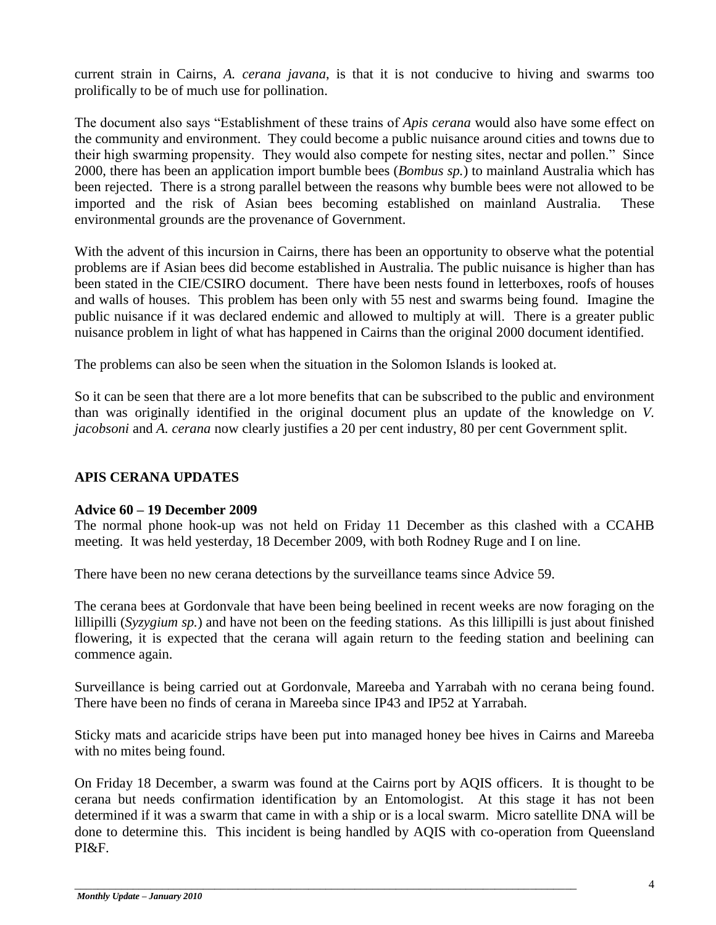current strain in Cairns, *A. cerana javana*, is that it is not conducive to hiving and swarms too prolifically to be of much use for pollination.

The document also says "Establishment of these trains of *Apis cerana* would also have some effect on the community and environment. They could become a public nuisance around cities and towns due to their high swarming propensity. They would also compete for nesting sites, nectar and pollen." Since 2000, there has been an application import bumble bees (*Bombus sp.*) to mainland Australia which has been rejected. There is a strong parallel between the reasons why bumble bees were not allowed to be imported and the risk of Asian bees becoming established on mainland Australia. These environmental grounds are the provenance of Government.

With the advent of this incursion in Cairns, there has been an opportunity to observe what the potential problems are if Asian bees did become established in Australia. The public nuisance is higher than has been stated in the CIE/CSIRO document. There have been nests found in letterboxes, roofs of houses and walls of houses. This problem has been only with 55 nest and swarms being found. Imagine the public nuisance if it was declared endemic and allowed to multiply at will. There is a greater public nuisance problem in light of what has happened in Cairns than the original 2000 document identified.

The problems can also be seen when the situation in the Solomon Islands is looked at.

So it can be seen that there are a lot more benefits that can be subscribed to the public and environment than was originally identified in the original document plus an update of the knowledge on *V. jacobsoni* and *A. cerana* now clearly justifies a 20 per cent industry, 80 per cent Government split.

## **APIS CERANA UPDATES**

#### **Advice 60 – 19 December 2009**

The normal phone hook-up was not held on Friday 11 December as this clashed with a CCAHB meeting. It was held yesterday, 18 December 2009, with both Rodney Ruge and I on line.

There have been no new cerana detections by the surveillance teams since Advice 59.

The cerana bees at Gordonvale that have been being beelined in recent weeks are now foraging on the lillipilli (*Syzygium sp.*) and have not been on the feeding stations. As this lillipilli is just about finished flowering, it is expected that the cerana will again return to the feeding station and beelining can commence again.

Surveillance is being carried out at Gordonvale, Mareeba and Yarrabah with no cerana being found. There have been no finds of cerana in Mareeba since IP43 and IP52 at Yarrabah.

Sticky mats and acaricide strips have been put into managed honey bee hives in Cairns and Mareeba with no mites being found.

On Friday 18 December, a swarm was found at the Cairns port by AQIS officers. It is thought to be cerana but needs confirmation identification by an Entomologist. At this stage it has not been determined if it was a swarm that came in with a ship or is a local swarm. Micro satellite DNA will be done to determine this. This incident is being handled by AQIS with co-operation from Queensland PI&F.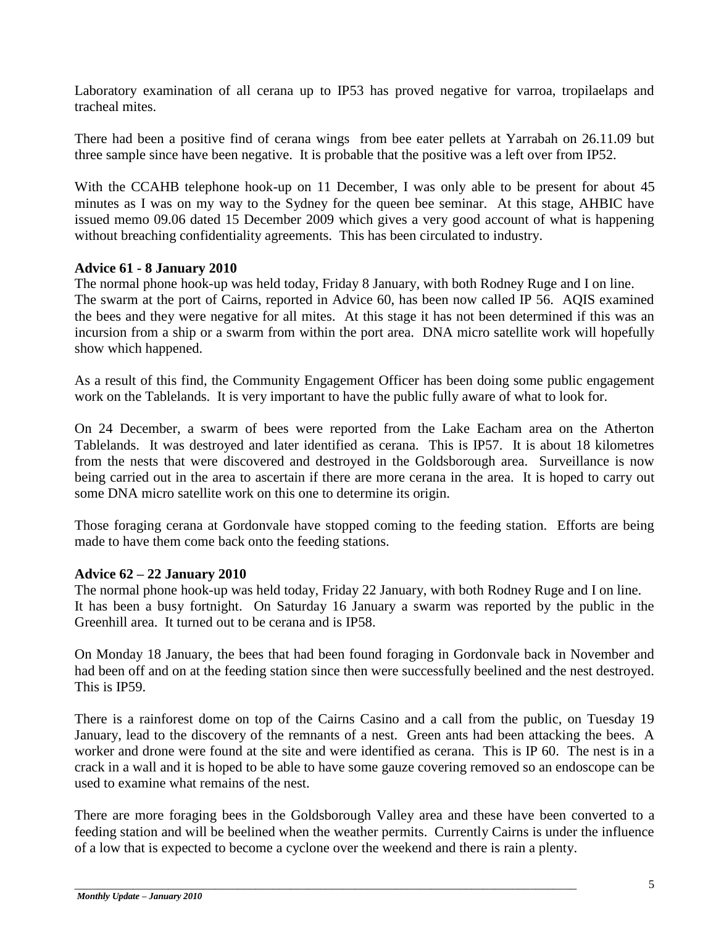Laboratory examination of all cerana up to IP53 has proved negative for varroa, tropilaelaps and tracheal mites.

There had been a positive find of cerana wings from bee eater pellets at Yarrabah on 26.11.09 but three sample since have been negative. It is probable that the positive was a left over from IP52.

With the CCAHB telephone hook-up on 11 December, I was only able to be present for about 45 minutes as I was on my way to the Sydney for the queen bee seminar. At this stage, AHBIC have issued memo 09.06 dated 15 December 2009 which gives a very good account of what is happening without breaching confidentiality agreements. This has been circulated to industry.

#### **Advice 61 - 8 January 2010**

The normal phone hook-up was held today, Friday 8 January, with both Rodney Ruge and I on line. The swarm at the port of Cairns, reported in Advice 60, has been now called IP 56. AQIS examined the bees and they were negative for all mites. At this stage it has not been determined if this was an incursion from a ship or a swarm from within the port area. DNA micro satellite work will hopefully show which happened.

As a result of this find, the Community Engagement Officer has been doing some public engagement work on the Tablelands. It is very important to have the public fully aware of what to look for.

On 24 December, a swarm of bees were reported from the Lake Eacham area on the Atherton Tablelands. It was destroyed and later identified as cerana. This is IP57. It is about 18 kilometres from the nests that were discovered and destroyed in the Goldsborough area. Surveillance is now being carried out in the area to ascertain if there are more cerana in the area. It is hoped to carry out some DNA micro satellite work on this one to determine its origin.

Those foraging cerana at Gordonvale have stopped coming to the feeding station. Efforts are being made to have them come back onto the feeding stations.

#### **Advice 62 – 22 January 2010**

The normal phone hook-up was held today, Friday 22 January, with both Rodney Ruge and I on line. It has been a busy fortnight. On Saturday 16 January a swarm was reported by the public in the Greenhill area. It turned out to be cerana and is IP58.

On Monday 18 January, the bees that had been found foraging in Gordonvale back in November and had been off and on at the feeding station since then were successfully beelined and the nest destroyed. This is IP59.

There is a rainforest dome on top of the Cairns Casino and a call from the public, on Tuesday 19 January, lead to the discovery of the remnants of a nest. Green ants had been attacking the bees. A worker and drone were found at the site and were identified as cerana. This is IP 60. The nest is in a crack in a wall and it is hoped to be able to have some gauze covering removed so an endoscope can be used to examine what remains of the nest.

There are more foraging bees in the Goldsborough Valley area and these have been converted to a feeding station and will be beelined when the weather permits. Currently Cairns is under the influence of a low that is expected to become a cyclone over the weekend and there is rain a plenty.

\_\_\_\_\_\_\_\_\_\_\_\_\_\_\_\_\_\_\_\_\_\_\_\_\_\_\_\_\_\_\_\_\_\_\_\_\_\_\_\_\_\_\_\_\_\_\_\_\_\_\_\_\_\_\_\_\_\_\_\_\_\_\_\_\_\_\_\_\_\_\_\_\_\_\_\_\_\_\_\_\_\_\_\_\_\_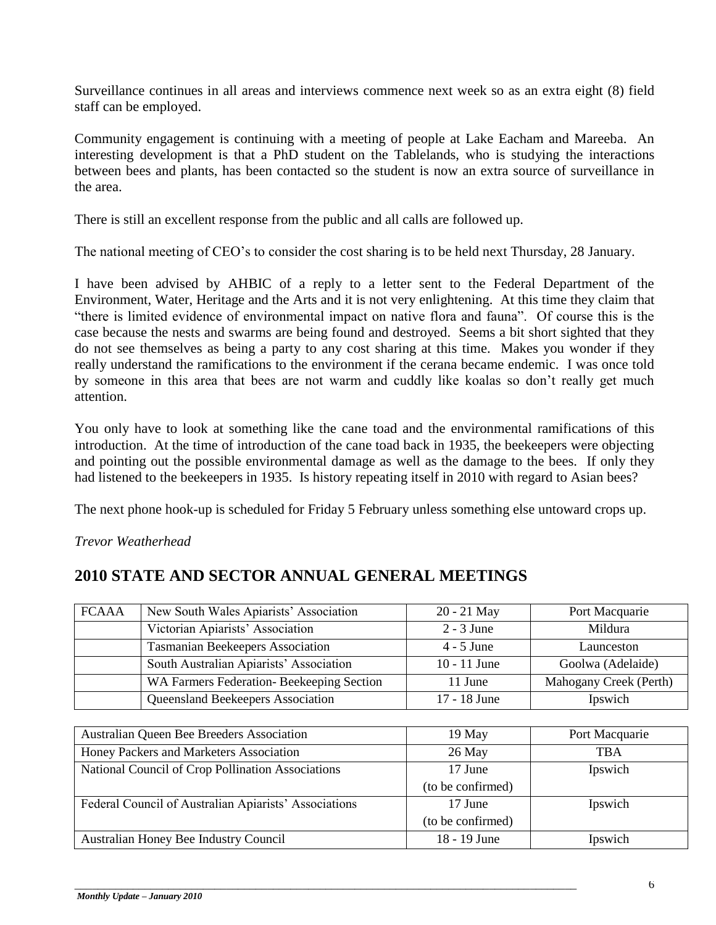Surveillance continues in all areas and interviews commence next week so as an extra eight (8) field staff can be employed.

Community engagement is continuing with a meeting of people at Lake Eacham and Mareeba. An interesting development is that a PhD student on the Tablelands, who is studying the interactions between bees and plants, has been contacted so the student is now an extra source of surveillance in the area.

There is still an excellent response from the public and all calls are followed up.

The national meeting of CEO's to consider the cost sharing is to be held next Thursday, 28 January.

I have been advised by AHBIC of a reply to a letter sent to the Federal Department of the Environment, Water, Heritage and the Arts and it is not very enlightening. At this time they claim that "there is limited evidence of environmental impact on native flora and fauna". Of course this is the case because the nests and swarms are being found and destroyed. Seems a bit short sighted that they do not see themselves as being a party to any cost sharing at this time. Makes you wonder if they really understand the ramifications to the environment if the cerana became endemic. I was once told by someone in this area that bees are not warm and cuddly like koalas so don't really get much attention.

You only have to look at something like the cane toad and the environmental ramifications of this introduction. At the time of introduction of the cane toad back in 1935, the beekeepers were objecting and pointing out the possible environmental damage as well as the damage to the bees. If only they had listened to the beekeepers in 1935. Is history repeating itself in 2010 with regard to Asian bees?

The next phone hook-up is scheduled for Friday 5 February unless something else untoward crops up.

*Trevor Weatherhead*

# **2010 STATE AND SECTOR ANNUAL GENERAL MEETINGS**

| <b>FCAAA</b>                                          | New South Wales Apiarists' Association   | $20 - 21$ May     | Port Macquarie         |
|-------------------------------------------------------|------------------------------------------|-------------------|------------------------|
|                                                       | Victorian Apiarists' Association         | $2 - 3$ June      | Mildura                |
|                                                       | <b>Tasmanian Beekeepers Association</b>  | $4 - 5$ June      | Launceston             |
|                                                       | South Australian Apiarists' Association  | $10 - 11$ June    | Goolwa (Adelaide)      |
|                                                       | WA Farmers Federation-Beekeeping Section | 11 June           | Mahogany Creek (Perth) |
|                                                       | Queensland Beekeepers Association        | 17 - 18 June      | Ipswich                |
|                                                       |                                          |                   |                        |
| <b>Australian Queen Bee Breeders Association</b>      |                                          | 19 May            | Port Macquarie         |
| Honey Packers and Marketers Association               |                                          | 26 May            | <b>TBA</b>             |
| National Council of Crop Pollination Associations     |                                          | 17 June           | Ipswich                |
|                                                       |                                          | (to be confirmed) |                        |
| Federal Council of Australian Apiarists' Associations |                                          | 17 June           | Ipswich                |
|                                                       |                                          | (to be confirmed) |                        |
| Australian Honey Bee Industry Council                 |                                          | 18 - 19 June      | Ipswich                |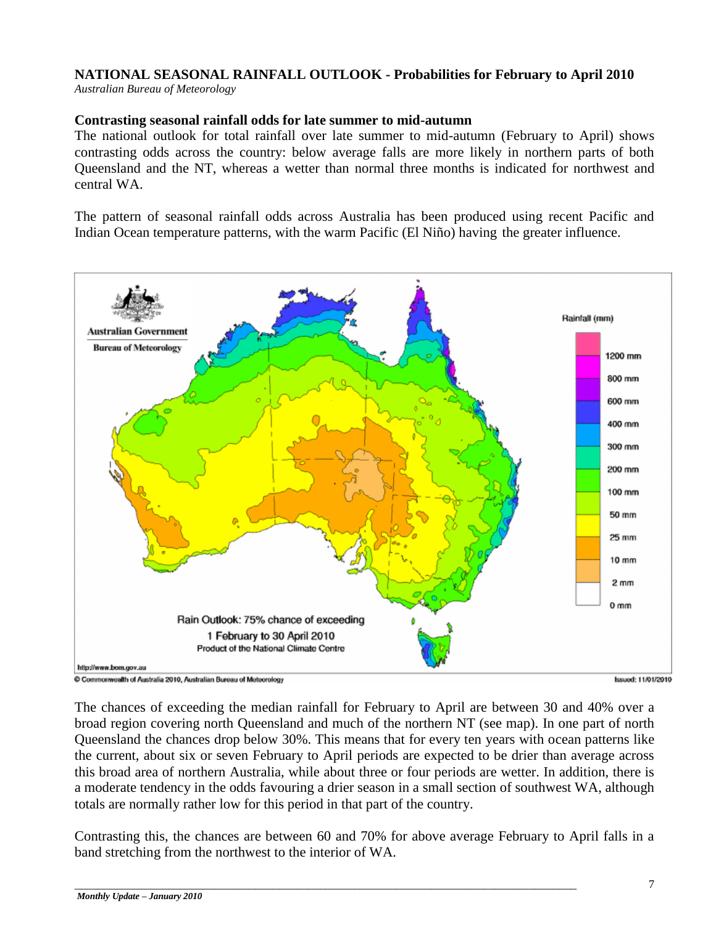## **NATIONAL SEASONAL RAINFALL OUTLOOK - Probabilities for February to April 2010**

*Australian Bureau of Meteorology*

#### **Contrasting seasonal rainfall odds for late summer to mid-autumn**

The national outlook for total rainfall over late summer to mid-autumn (February to April) shows contrasting odds across the country: below average falls are more likely in northern parts of both Queensland and the NT, whereas a wetter than normal three months is indicated for northwest and central WA.

The pattern of seasonal rainfall odds across Australia has been produced using recent Pacific and Indian Ocean temperature patterns, with the warm Pacific (El Niño) having the greater influence.



Commonwealth of Australia 2010, Australian Bureau of Meteorology

**Issued: 11/01/2010** 

The chances of exceeding the median rainfall for February to April are between 30 and 40% over a broad region covering north Queensland and much of the northern NT (see map). In one part of north Queensland the chances drop below 30%. This means that for every ten years with ocean patterns like the current, about six or seven February to April periods are expected to be drier than average across this broad area of northern Australia, while about three or four periods are wetter. In addition, there is a moderate tendency in the odds favouring a drier season in a small section of southwest WA, although totals are normally rather low for this period in that part of the country.

Contrasting this, the chances are between 60 and 70% for above average February to April falls in a band stretching from the northwest to the interior of WA.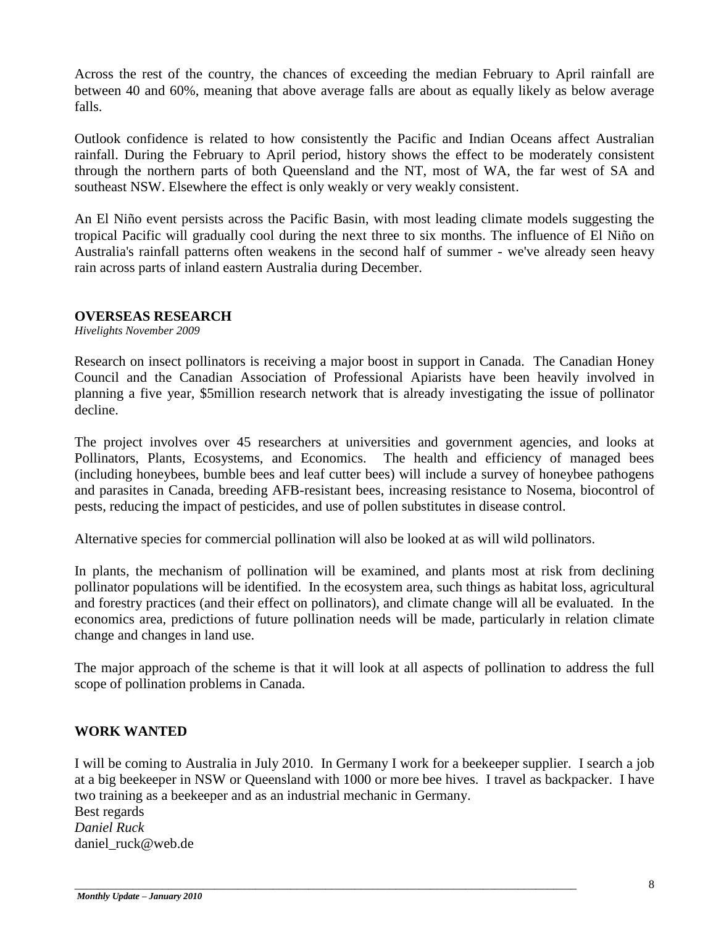Across the rest of the country, the chances of exceeding the median February to April rainfall are between 40 and 60%, meaning that above average falls are about as equally likely as below average falls.

Outlook confidence is related to how consistently the Pacific and Indian Oceans affect Australian rainfall. During the February to April period, history shows the effect to be moderately consistent through the northern parts of both Queensland and the NT, most of WA, the far west of SA and southeast NSW. Elsewhere the effect is only weakly or very weakly consistent.

An El Niño event persists across the Pacific Basin, with most leading climate models suggesting the tropical Pacific will gradually cool during the next three to six months. The influence of El Niño on Australia's rainfall patterns often weakens in the second half of summer - we've already seen heavy rain across parts of inland eastern Australia during December.

#### **OVERSEAS RESEARCH**

*Hivelights November 2009*

Research on insect pollinators is receiving a major boost in support in Canada. The Canadian Honey Council and the Canadian Association of Professional Apiarists have been heavily involved in planning a five year, \$5million research network that is already investigating the issue of pollinator decline.

The project involves over 45 researchers at universities and government agencies, and looks at Pollinators, Plants, Ecosystems, and Economics. The health and efficiency of managed bees (including honeybees, bumble bees and leaf cutter bees) will include a survey of honeybee pathogens and parasites in Canada, breeding AFB-resistant bees, increasing resistance to Nosema, biocontrol of pests, reducing the impact of pesticides, and use of pollen substitutes in disease control.

Alternative species for commercial pollination will also be looked at as will wild pollinators.

In plants, the mechanism of pollination will be examined, and plants most at risk from declining pollinator populations will be identified. In the ecosystem area, such things as habitat loss, agricultural and forestry practices (and their effect on pollinators), and climate change will all be evaluated. In the economics area, predictions of future pollination needs will be made, particularly in relation climate change and changes in land use.

The major approach of the scheme is that it will look at all aspects of pollination to address the full scope of pollination problems in Canada.

#### **WORK WANTED**

I will be coming to Australia in July 2010. In Germany I work for a beekeeper supplier. I search a job at a big beekeeper in NSW or Queensland with 1000 or more bee hives. I travel as backpacker. I have two training as a beekeeper and as an industrial mechanic in Germany.

\_\_\_\_\_\_\_\_\_\_\_\_\_\_\_\_\_\_\_\_\_\_\_\_\_\_\_\_\_\_\_\_\_\_\_\_\_\_\_\_\_\_\_\_\_\_\_\_\_\_\_\_\_\_\_\_\_\_\_\_\_\_\_\_\_\_\_\_\_\_\_\_\_\_\_\_\_\_\_\_\_\_\_\_\_\_

Best regards *Daniel Ruck*  daniel\_ruck@web.de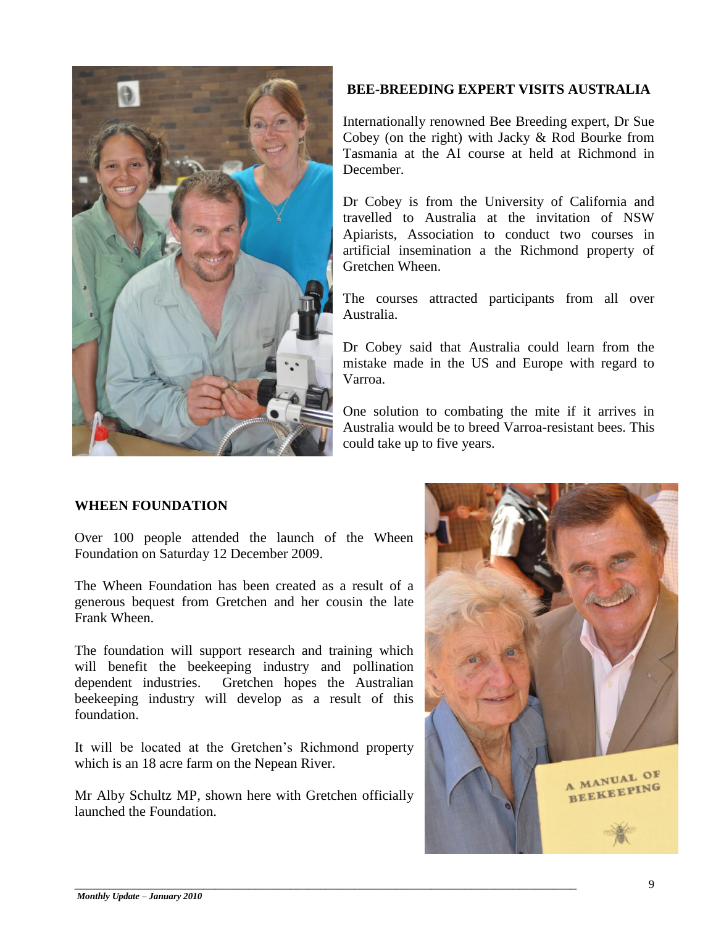

## **BEE-BREEDING EXPERT VISITS AUSTRALIA**

Internationally renowned Bee Breeding expert, Dr Sue Cobey (on the right) with Jacky & Rod Bourke from Tasmania at the AI course at held at Richmond in December.

Dr Cobey is from the University of California and travelled to Australia at the invitation of NSW Apiarists, Association to conduct two courses in artificial insemination a the Richmond property of Gretchen Wheen.

The courses attracted participants from all over Australia.

Dr Cobey said that Australia could learn from the mistake made in the US and Europe with regard to Varroa.

One solution to combating the mite if it arrives in Australia would be to breed Varroa-resistant bees. This could take up to five years.

#### **WHEEN FOUNDATION**

Over 100 people attended the launch of the Wheen Foundation on Saturday 12 December 2009.

The Wheen Foundation has been created as a result of a generous bequest from Gretchen and her cousin the late Frank Wheen.

The foundation will support research and training which will benefit the beekeeping industry and pollination dependent industries. Gretchen hopes the Australian beekeeping industry will develop as a result of this foundation.

It will be located at the Gretchen's Richmond property which is an 18 acre farm on the Nepean River.

Mr Alby Schultz MP, shown here with Gretchen officially launched the Foundation.

\_\_\_\_\_\_\_\_\_\_\_\_\_\_\_\_\_\_\_\_\_\_\_\_\_\_\_\_\_\_\_\_\_\_\_\_\_\_\_\_\_\_\_\_\_\_\_\_\_\_\_\_\_\_\_\_\_\_\_\_\_\_\_\_\_\_\_\_\_\_\_\_\_\_\_\_\_\_\_\_\_\_\_\_\_\_

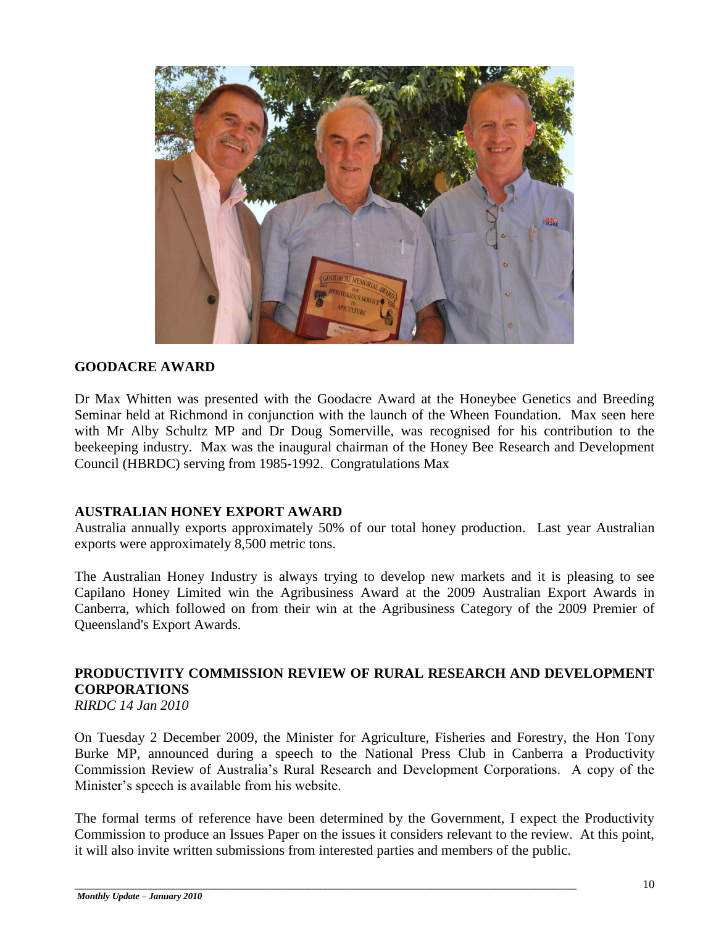

#### **GOODACRE AWARD**

Dr Max Whitten was presented with the Goodacre Award at the Honeybee Genetics and Breeding Seminar held at Richmond in conjunction with the launch of the Wheen Foundation. Max seen here with Mr Alby Schultz MP and Dr Doug Somerville, was recognised for his contribution to the beekeeping industry. Max was the inaugural chairman of the Honey Bee Research and Development Council (HBRDC) serving from 1985-1992. Congratulations Max

#### **AUSTRALIAN HONEY EXPORT AWARD**

Australia annually exports approximately 50% of our total honey production. Last year Australian exports were approximately 8,500 metric tons.

The Australian Honey Industry is always trying to develop new markets and it is pleasing to see Capilano Honey Limited win the Agribusiness Award at the 2009 Australian Export Awards in Canberra, which followed on from their win at the Agribusiness Category of the 2009 Premier of Queensland's Export Awards.

# **PRODUCTIVITY COMMISSION REVIEW OF RURAL RESEARCH AND DEVELOPMENT CORPORATIONS**

*RIRDC 14 Jan 2010*

On Tuesday 2 December 2009, the Minister for Agriculture, Fisheries and Forestry, the Hon Tony Burke MP, announced during a speech to the National Press Club in Canberra a Productivity Commission Review of Australia's Rural Research and Development Corporations. A copy of the Minister's speech is available from his website.

The formal terms of reference have been determined by the Government, I expect the Productivity Commission to produce an Issues Paper on the issues it considers relevant to the review. At this point, it will also invite written submissions from interested parties and members of the public.

\_\_\_\_\_\_\_\_\_\_\_\_\_\_\_\_\_\_\_\_\_\_\_\_\_\_\_\_\_\_\_\_\_\_\_\_\_\_\_\_\_\_\_\_\_\_\_\_\_\_\_\_\_\_\_\_\_\_\_\_\_\_\_\_\_\_\_\_\_\_\_\_\_\_\_\_\_\_\_\_\_\_\_\_\_\_